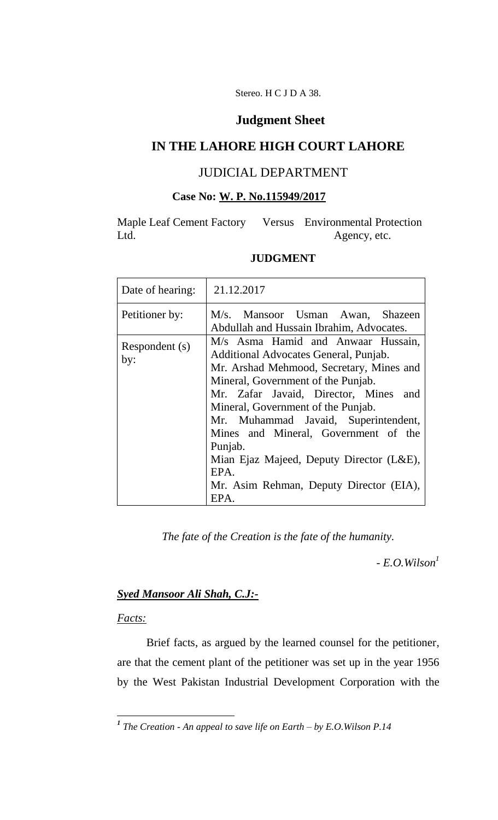Stereo. H C J D A 38.

## **Judgment Sheet**

# **IN THE LAHORE HIGH COURT LAHORE**

# JUDICIAL DEPARTMENT

# **Case No: W. P. No.115949/2017**

Maple Leaf Cement Factory Versus Environmental Protection Ltd. Agency, etc.

### **JUDGMENT**

| Date of hearing:      | 21.12.2017                                                                                                                                                                                                                                                                                                                                                                                                                                     |
|-----------------------|------------------------------------------------------------------------------------------------------------------------------------------------------------------------------------------------------------------------------------------------------------------------------------------------------------------------------------------------------------------------------------------------------------------------------------------------|
| Petitioner by:        | M/s. Mansoor Usman Awan, Shazeen<br>Abdullah and Hussain Ibrahim, Advocates.                                                                                                                                                                                                                                                                                                                                                                   |
| Respondent (s)<br>by: | M/s Asma Hamid and Anwaar Hussain,<br>Additional Advocates General, Punjab.<br>Mr. Arshad Mehmood, Secretary, Mines and<br>Mineral, Government of the Punjab.<br>Mr. Zafar Javaid, Director, Mines and<br>Mineral, Government of the Punjab.<br>Mr. Muhammad Javaid, Superintendent,<br>Mines and Mineral, Government of the<br>Punjab.<br>Mian Ejaz Majeed, Deputy Director (L&E),<br>EPA.<br>Mr. Asim Rehman, Deputy Director (EIA),<br>EPA. |

*The fate of the Creation is the fate of the humanity.*

*- E.O.Wilson<sup>1</sup>*

### *Syed Mansoor Ali Shah, C.J:-*

### *Facts:*

Brief facts, as argued by the learned counsel for the petitioner, are that the cement plant of the petitioner was set up in the year 1956 by the West Pakistan Industrial Development Corporation with the

 *1 The Creation - An appeal to save life on Earth – by E.O.Wilson P.14*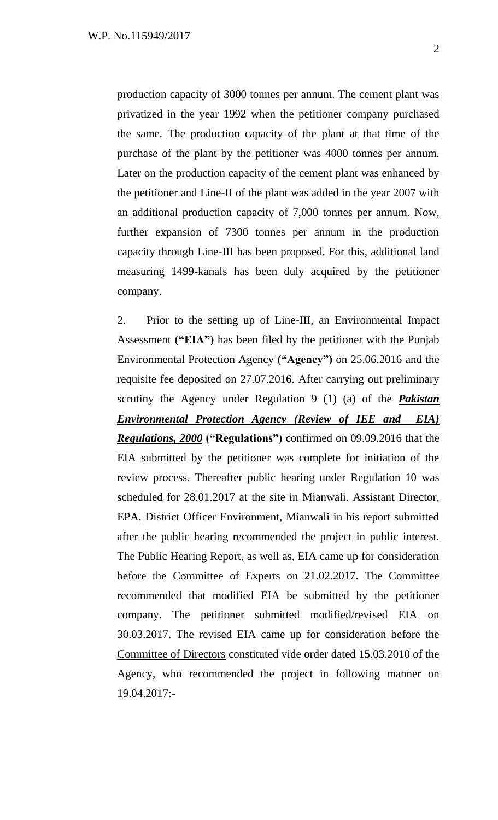production capacity of 3000 tonnes per annum. The cement plant was privatized in the year 1992 when the petitioner company purchased the same. The production capacity of the plant at that time of the purchase of the plant by the petitioner was 4000 tonnes per annum. Later on the production capacity of the cement plant was enhanced by the petitioner and Line-II of the plant was added in the year 2007 with an additional production capacity of 7,000 tonnes per annum. Now, further expansion of 7300 tonnes per annum in the production capacity through Line-III has been proposed. For this, additional land measuring 1499-kanals has been duly acquired by the petitioner company.

2. Prior to the setting up of Line-III, an Environmental Impact Assessment **("EIA")** has been filed by the petitioner with the Punjab Environmental Protection Agency **("Agency")** on 25.06.2016 and the requisite fee deposited on 27.07.2016. After carrying out preliminary scrutiny the Agency under Regulation 9 (1) (a) of the *Pakistan Environmental Protection Agency (Review of IEE and EIA) Regulations, 2000* **("Regulations")** confirmed on 09.09.2016 that the EIA submitted by the petitioner was complete for initiation of the review process. Thereafter public hearing under Regulation 10 was scheduled for 28.01.2017 at the site in Mianwali. Assistant Director, EPA, District Officer Environment, Mianwali in his report submitted after the public hearing recommended the project in public interest. The Public Hearing Report, as well as, EIA came up for consideration before the Committee of Experts on 21.02.2017. The Committee recommended that modified EIA be submitted by the petitioner company. The petitioner submitted modified/revised EIA on 30.03.2017. The revised EIA came up for consideration before the Committee of Directors constituted vide order dated 15.03.2010 of the Agency, who recommended the project in following manner on 19.04.2017:-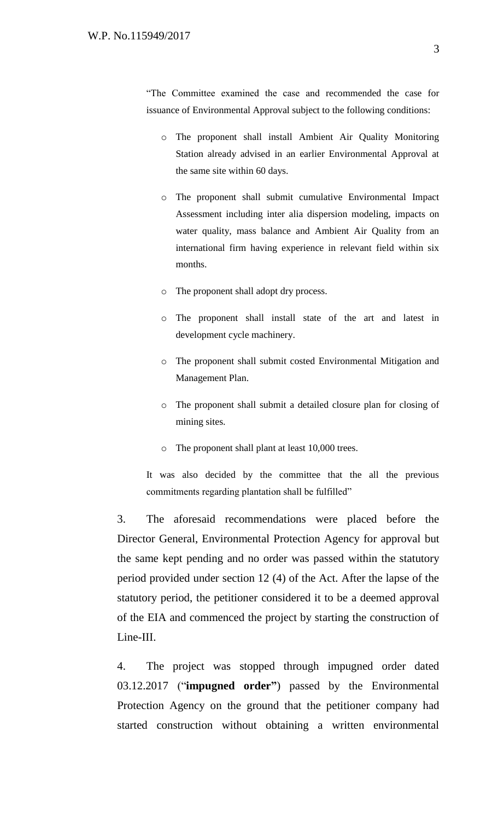―The Committee examined the case and recommended the case for issuance of Environmental Approval subject to the following conditions:

- o The proponent shall install Ambient Air Quality Monitoring Station already advised in an earlier Environmental Approval at the same site within 60 days.
- o The proponent shall submit cumulative Environmental Impact Assessment including inter alia dispersion modeling, impacts on water quality, mass balance and Ambient Air Quality from an international firm having experience in relevant field within six months.
- o The proponent shall adopt dry process.
- o The proponent shall install state of the art and latest in development cycle machinery.
- o The proponent shall submit costed Environmental Mitigation and Management Plan.
- o The proponent shall submit a detailed closure plan for closing of mining sites.
- o The proponent shall plant at least 10,000 trees.

It was also decided by the committee that the all the previous commitments regarding plantation shall be fulfilled"

3. The aforesaid recommendations were placed before the Director General, Environmental Protection Agency for approval but the same kept pending and no order was passed within the statutory period provided under section 12 (4) of the Act. After the lapse of the statutory period, the petitioner considered it to be a deemed approval of the EIA and commenced the project by starting the construction of Line-III.

4. The project was stopped through impugned order dated 03.12.2017 ("**impugned order"**) passed by the Environmental Protection Agency on the ground that the petitioner company had started construction without obtaining a written environmental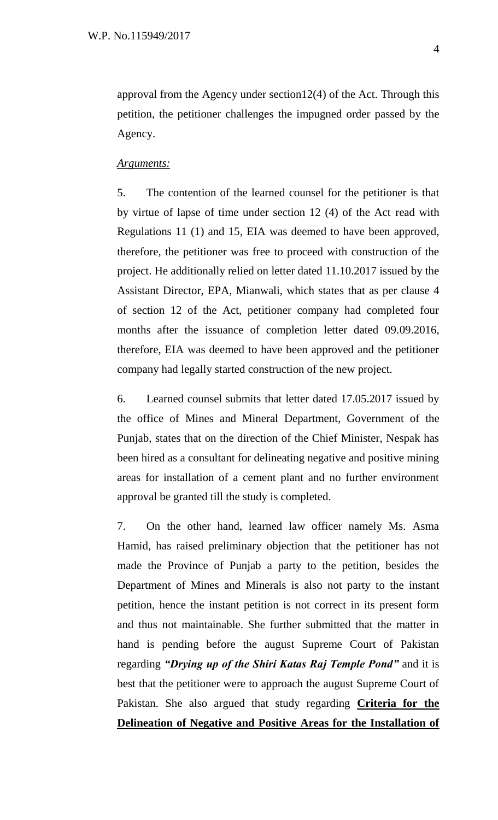approval from the Agency under section12(4) of the Act. Through this petition, the petitioner challenges the impugned order passed by the Agency.

### *Arguments:*

5. The contention of the learned counsel for the petitioner is that by virtue of lapse of time under section 12 (4) of the Act read with Regulations 11 (1) and 15, EIA was deemed to have been approved, therefore, the petitioner was free to proceed with construction of the project. He additionally relied on letter dated 11.10.2017 issued by the Assistant Director, EPA, Mianwali, which states that as per clause 4 of section 12 of the Act, petitioner company had completed four months after the issuance of completion letter dated 09.09.2016, therefore, EIA was deemed to have been approved and the petitioner company had legally started construction of the new project.

6. Learned counsel submits that letter dated 17.05.2017 issued by the office of Mines and Mineral Department, Government of the Punjab, states that on the direction of the Chief Minister, Nespak has been hired as a consultant for delineating negative and positive mining areas for installation of a cement plant and no further environment approval be granted till the study is completed.

7. On the other hand, learned law officer namely Ms. Asma Hamid, has raised preliminary objection that the petitioner has not made the Province of Punjab a party to the petition, besides the Department of Mines and Minerals is also not party to the instant petition, hence the instant petition is not correct in its present form and thus not maintainable. She further submitted that the matter in hand is pending before the august Supreme Court of Pakistan regarding *"Drying up of the Shiri Katas Raj Temple Pond"* and it is best that the petitioner were to approach the august Supreme Court of Pakistan. She also argued that study regarding **Criteria for the Delineation of Negative and Positive Areas for the Installation of**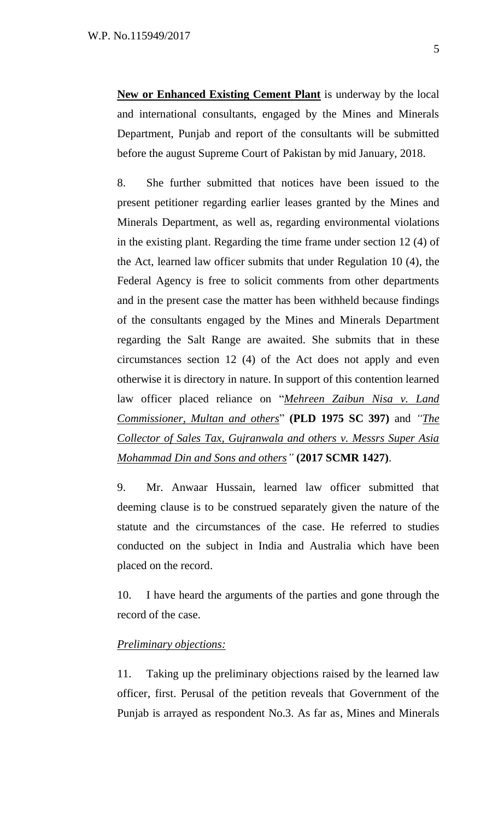**New or Enhanced Existing Cement Plant** is underway by the local and international consultants, engaged by the Mines and Minerals Department, Punjab and report of the consultants will be submitted before the august Supreme Court of Pakistan by mid January, 2018.

8. She further submitted that notices have been issued to the present petitioner regarding earlier leases granted by the Mines and Minerals Department, as well as, regarding environmental violations in the existing plant. Regarding the time frame under section 12 (4) of the Act, learned law officer submits that under Regulation 10 (4), the Federal Agency is free to solicit comments from other departments and in the present case the matter has been withheld because findings of the consultants engaged by the Mines and Minerals Department regarding the Salt Range are awaited. She submits that in these circumstances section 12 (4) of the Act does not apply and even otherwise it is directory in nature. In support of this contention learned law officer placed reliance on "*Mehreen Zaibun Nisa v. Land Commissioner, Multan and others*‖ **(PLD 1975 SC 397)** and *"The Collector of Sales Tax, Gujranwala and others v. Messrs Super Asia Mohammad Din and Sons and others"* **(2017 SCMR 1427)**.

9. Mr. Anwaar Hussain, learned law officer submitted that deeming clause is to be construed separately given the nature of the statute and the circumstances of the case. He referred to studies conducted on the subject in India and Australia which have been placed on the record.

10. I have heard the arguments of the parties and gone through the record of the case.

### *Preliminary objections:*

11. Taking up the preliminary objections raised by the learned law officer, first. Perusal of the petition reveals that Government of the Punjab is arrayed as respondent No.3. As far as, Mines and Minerals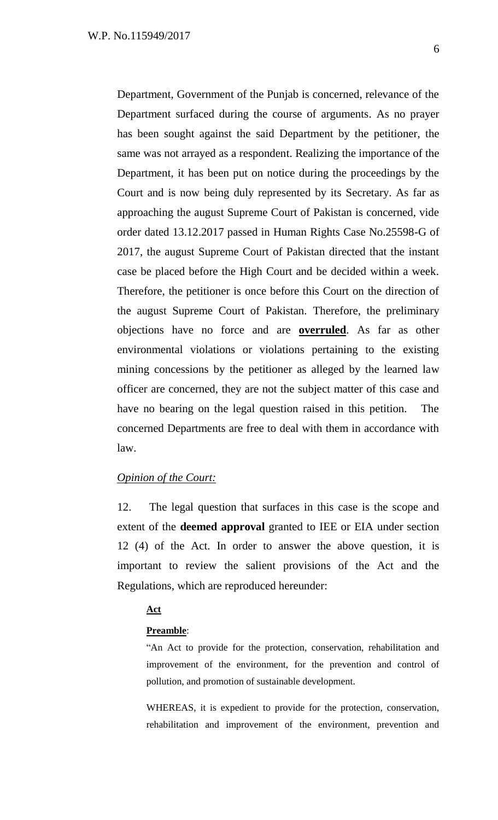Department, Government of the Punjab is concerned, relevance of the Department surfaced during the course of arguments. As no prayer has been sought against the said Department by the petitioner, the same was not arrayed as a respondent. Realizing the importance of the Department, it has been put on notice during the proceedings by the Court and is now being duly represented by its Secretary. As far as approaching the august Supreme Court of Pakistan is concerned, vide order dated 13.12.2017 passed in Human Rights Case No.25598-G of 2017, the august Supreme Court of Pakistan directed that the instant case be placed before the High Court and be decided within a week. Therefore, the petitioner is once before this Court on the direction of the august Supreme Court of Pakistan. Therefore, the preliminary objections have no force and are **overruled**. As far as other environmental violations or violations pertaining to the existing mining concessions by the petitioner as alleged by the learned law officer are concerned, they are not the subject matter of this case and have no bearing on the legal question raised in this petition. The concerned Departments are free to deal with them in accordance with law.

### *Opinion of the Court:*

12. The legal question that surfaces in this case is the scope and extent of the **deemed approval** granted to IEE or EIA under section 12 (4) of the Act. In order to answer the above question, it is important to review the salient provisions of the Act and the Regulations, which are reproduced hereunder:

### **Act**

### **Preamble**:

―An Act to provide for the protection, conservation, rehabilitation and improvement of the environment, for the prevention and control of pollution, and promotion of sustainable development.

WHEREAS, it is expedient to provide for the protection, conservation, rehabilitation and improvement of the environment, prevention and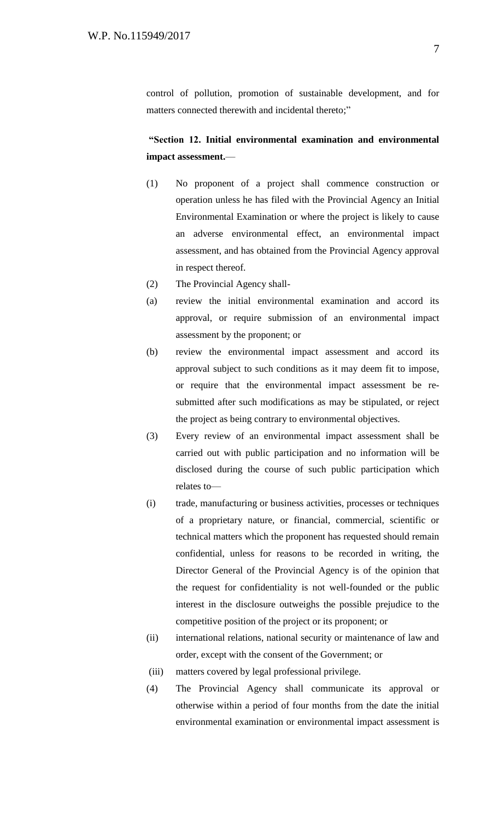control of pollution, promotion of sustainable development, and for matters connected therewith and incidental thereto;"

# **"Section 12. Initial environmental examination and environmental impact assessment.**—

- (1) No proponent of a project shall commence construction or operation unless he has filed with the Provincial Agency an Initial Environmental Examination or where the project is likely to cause an adverse environmental effect, an environmental impact assessment, and has obtained from the Provincial Agency approval in respect thereof.
- (2) The Provincial Agency shall-
- (a) review the initial environmental examination and accord its approval, or require submission of an environmental impact assessment by the proponent; or
- (b) review the environmental impact assessment and accord its approval subject to such conditions as it may deem fit to impose, or require that the environmental impact assessment be resubmitted after such modifications as may be stipulated, or reject the project as being contrary to environmental objectives.
- (3) Every review of an environmental impact assessment shall be carried out with public participation and no information will be disclosed during the course of such public participation which relates to—
- (i) trade, manufacturing or business activities, processes or techniques of a proprietary nature, or financial, commercial, scientific or technical matters which the proponent has requested should remain confidential, unless for reasons to be recorded in writing, the Director General of the Provincial Agency is of the opinion that the request for confidentiality is not well-founded or the public interest in the disclosure outweighs the possible prejudice to the competitive position of the project or its proponent; or
- (ii) international relations, national security or maintenance of law and order, except with the consent of the Government; or
- (iii) matters covered by legal professional privilege.
- (4) The Provincial Agency shall communicate its approval or otherwise within a period of four months from the date the initial environmental examination or environmental impact assessment is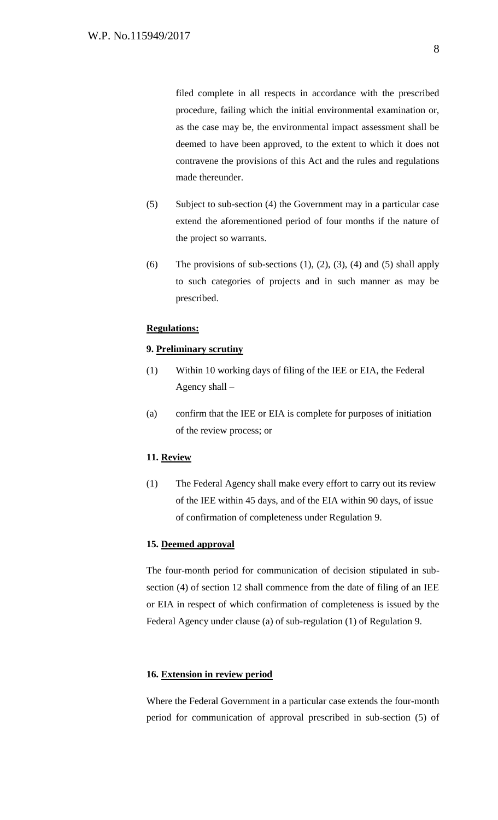filed complete in all respects in accordance with the prescribed procedure, failing which the initial environmental examination or, as the case may be, the environmental impact assessment shall be deemed to have been approved, to the extent to which it does not contravene the provisions of this Act and the rules and regulations made thereunder.

- (5) Subject to sub-section (4) the Government may in a particular case extend the aforementioned period of four months if the nature of the project so warrants.
- (6) The provisions of sub-sections  $(1)$ ,  $(2)$ ,  $(3)$ ,  $(4)$  and  $(5)$  shall apply to such categories of projects and in such manner as may be prescribed.

#### **Regulations:**

#### **9. Preliminary scrutiny**

- (1) Within 10 working days of filing of the IEE or EIA, the Federal Agency shall –
- (a) confirm that the IEE or EIA is complete for purposes of initiation of the review process; or

#### **11. Review**

(1) The Federal Agency shall make every effort to carry out its review of the IEE within 45 days, and of the EIA within 90 days, of issue of confirmation of completeness under Regulation 9.

### **15. Deemed approval**

The four-month period for communication of decision stipulated in subsection (4) of section 12 shall commence from the date of filing of an IEE or EIA in respect of which confirmation of completeness is issued by the Federal Agency under clause (a) of sub-regulation (1) of Regulation 9.

#### **16. Extension in review period**

Where the Federal Government in a particular case extends the four-month period for communication of approval prescribed in sub-section (5) of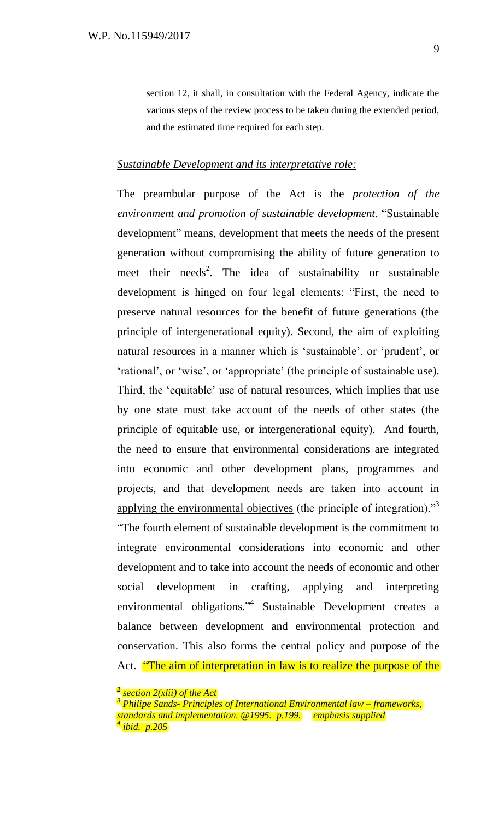section 12, it shall, in consultation with the Federal Agency, indicate the various steps of the review process to be taken during the extended period, and the estimated time required for each step.

### *Sustainable Development and its interpretative role:*

The preambular purpose of the Act is the *protection of the environment and promotion of sustainable development*. ―Sustainable development" means, development that meets the needs of the present generation without compromising the ability of future generation to meet their needs<sup>2</sup>. The idea of sustainability or sustainable development is hinged on four legal elements: "First, the need to preserve natural resources for the benefit of future generations (the principle of intergenerational equity). Second, the aim of exploiting natural resources in a manner which is 'sustainable', or 'prudent', or ‗rational', or ‗wise', or ‗appropriate' (the principle of sustainable use). Third, the 'equitable' use of natural resources, which implies that use by one state must take account of the needs of other states (the principle of equitable use, or intergenerational equity). And fourth, the need to ensure that environmental considerations are integrated into economic and other development plans, programmes and projects, and that development needs are taken into account in applying the environmental objectives (the principle of integration)."<sup>3</sup> ―The fourth element of sustainable development is the commitment to integrate environmental considerations into economic and other development and to take into account the needs of economic and other social development in crafting, applying and interpreting environmental obligations."<sup>4</sup> Sustainable Development creates a balance between development and environmental protection and conservation. This also forms the central policy and purpose of the Act. **"The aim of interpretation in law is to realize the purpose of the** 

*<sup>2</sup> section 2(xlii) of the Act*

*<sup>3</sup> Philipe Sands- Principles of International Environmental law – frameworks, standards and implementation. @1995. p.199. emphasis supplied 4 ibid. p.205*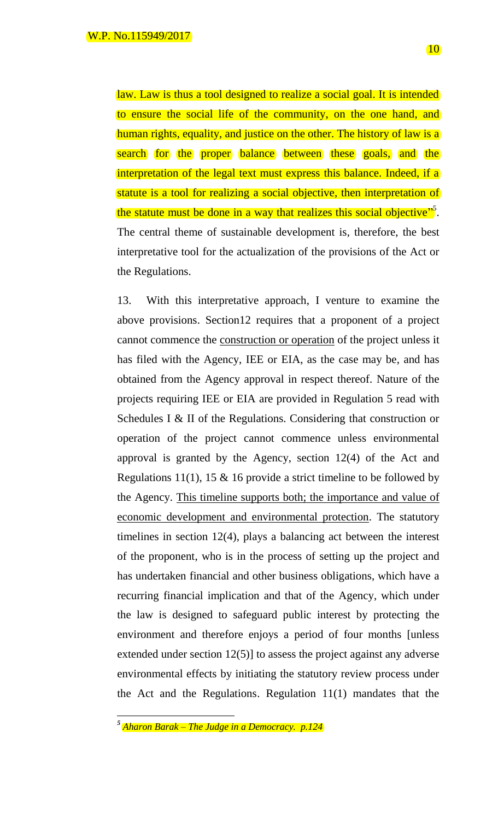law. Law is thus a tool designed to realize a social goal. It is intended to ensure the social life of the community, on the one hand, and human rights, equality, and justice on the other. The history of law is a search for the proper balance between these goals, and the interpretation of the legal text must express this balance. Indeed, if a statute is a tool for realizing a social objective, then interpretation of the statute must be done in a way that realizes this social objective". The central theme of sustainable development is, therefore, the best interpretative tool for the actualization of the provisions of the Act or the Regulations.

13. With this interpretative approach, I venture to examine the above provisions. Section12 requires that a proponent of a project cannot commence the construction or operation of the project unless it has filed with the Agency, IEE or EIA, as the case may be, and has obtained from the Agency approval in respect thereof. Nature of the projects requiring IEE or EIA are provided in Regulation 5 read with Schedules I & II of the Regulations. Considering that construction or operation of the project cannot commence unless environmental approval is granted by the Agency, section 12(4) of the Act and Regulations 11(1), 15  $\&$  16 provide a strict timeline to be followed by the Agency. This timeline supports both; the importance and value of economic development and environmental protection. The statutory timelines in section 12(4), plays a balancing act between the interest of the proponent, who is in the process of setting up the project and has undertaken financial and other business obligations, which have a recurring financial implication and that of the Agency, which under the law is designed to safeguard public interest by protecting the environment and therefore enjoys a period of four months [unless extended under section 12(5)] to assess the project against any adverse environmental effects by initiating the statutory review process under the Act and the Regulations. Regulation 11(1) mandates that the

*<sup>5</sup> Aharon Barak – The Judge in a Democracy. p.124*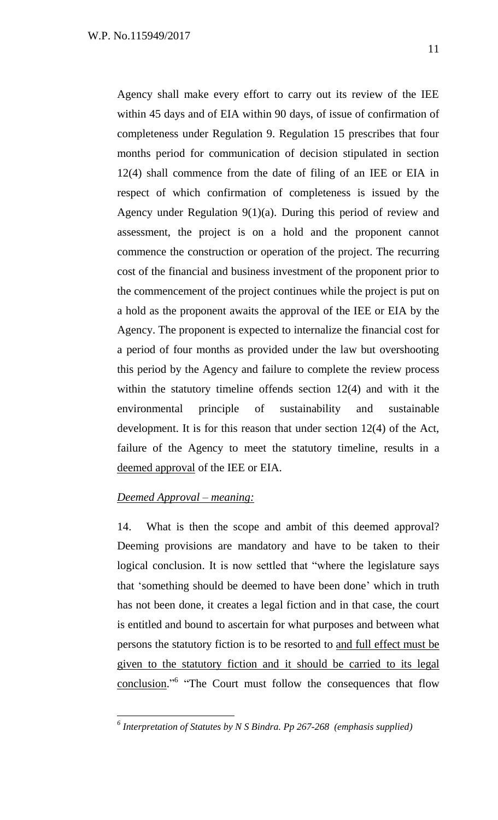Agency shall make every effort to carry out its review of the IEE within 45 days and of EIA within 90 days, of issue of confirmation of completeness under Regulation 9. Regulation 15 prescribes that four months period for communication of decision stipulated in section 12(4) shall commence from the date of filing of an IEE or EIA in respect of which confirmation of completeness is issued by the Agency under Regulation 9(1)(a). During this period of review and assessment, the project is on a hold and the proponent cannot commence the construction or operation of the project. The recurring cost of the financial and business investment of the proponent prior to the commencement of the project continues while the project is put on a hold as the proponent awaits the approval of the IEE or EIA by the Agency. The proponent is expected to internalize the financial cost for a period of four months as provided under the law but overshooting this period by the Agency and failure to complete the review process within the statutory timeline offends section 12(4) and with it the environmental principle of sustainability and sustainable development. It is for this reason that under section 12(4) of the Act, failure of the Agency to meet the statutory timeline, results in a deemed approval of the IEE or EIA.

### *Deemed Approval – meaning:*

14. What is then the scope and ambit of this deemed approval? Deeming provisions are mandatory and have to be taken to their logical conclusion. It is now settled that "where the legislature says that ‗something should be deemed to have been done' which in truth has not been done, it creates a legal fiction and in that case, the court is entitled and bound to ascertain for what purposes and between what persons the statutory fiction is to be resorted to and full effect must be given to the statutory fiction and it should be carried to its legal conclusion.<sup>56</sup> "The Court must follow the consequences that flow

 *6 Interpretation of Statutes by N S Bindra. Pp 267-268 (emphasis supplied)*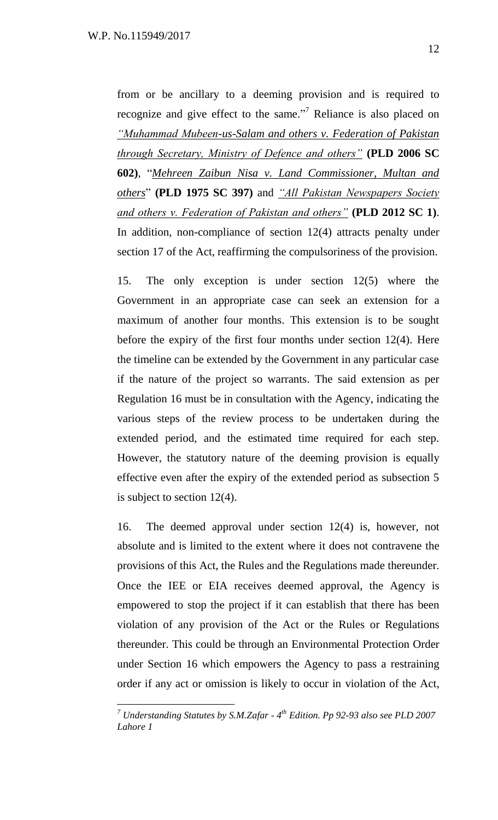from or be ancillary to a deeming provision and is required to recognize and give effect to the same."<sup>7</sup> Reliance is also placed on *"Muhammad Mubeen-us-Salam and others v. Federation of Pakistan through Secretary, Ministry of Defence and others"* **(PLD 2006 SC 602**), "Mehreen Zaibun Nisa v. Land Commissioner, Multan and *others*‖ **(PLD 1975 SC 397)** and *"All Pakistan Newspapers Society and others v. Federation of Pakistan and others"* **(PLD 2012 SC 1)**. In addition, non-compliance of section 12(4) attracts penalty under section 17 of the Act, reaffirming the compulsoriness of the provision.

15. The only exception is under section 12(5) where the Government in an appropriate case can seek an extension for a maximum of another four months. This extension is to be sought before the expiry of the first four months under section 12(4). Here the timeline can be extended by the Government in any particular case if the nature of the project so warrants. The said extension as per Regulation 16 must be in consultation with the Agency, indicating the various steps of the review process to be undertaken during the extended period, and the estimated time required for each step. However, the statutory nature of the deeming provision is equally effective even after the expiry of the extended period as subsection 5 is subject to section 12(4).

16. The deemed approval under section 12(4) is, however, not absolute and is limited to the extent where it does not contravene the provisions of this Act, the Rules and the Regulations made thereunder. Once the IEE or EIA receives deemed approval, the Agency is empowered to stop the project if it can establish that there has been violation of any provision of the Act or the Rules or Regulations thereunder. This could be through an Environmental Protection Order under Section 16 which empowers the Agency to pass a restraining order if any act or omission is likely to occur in violation of the Act,

*<sup>7</sup> Understanding Statutes by S.M.Zafar - 4 th Edition. Pp 92-93 also see PLD 2007 Lahore 1*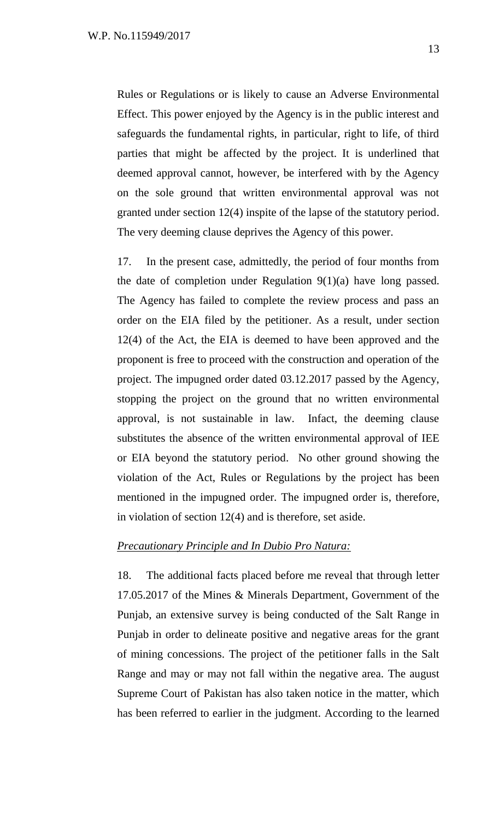Rules or Regulations or is likely to cause an Adverse Environmental Effect. This power enjoyed by the Agency is in the public interest and safeguards the fundamental rights, in particular, right to life, of third parties that might be affected by the project. It is underlined that deemed approval cannot, however, be interfered with by the Agency on the sole ground that written environmental approval was not granted under section 12(4) inspite of the lapse of the statutory period. The very deeming clause deprives the Agency of this power.

17. In the present case, admittedly, the period of four months from the date of completion under Regulation 9(1)(a) have long passed. The Agency has failed to complete the review process and pass an order on the EIA filed by the petitioner. As a result, under section 12(4) of the Act, the EIA is deemed to have been approved and the proponent is free to proceed with the construction and operation of the project. The impugned order dated 03.12.2017 passed by the Agency, stopping the project on the ground that no written environmental approval, is not sustainable in law. Infact, the deeming clause substitutes the absence of the written environmental approval of IEE or EIA beyond the statutory period. No other ground showing the violation of the Act, Rules or Regulations by the project has been mentioned in the impugned order. The impugned order is, therefore, in violation of section 12(4) and is therefore, set aside.

### *Precautionary Principle and In Dubio Pro Natura:*

18. The additional facts placed before me reveal that through letter 17.05.2017 of the Mines & Minerals Department, Government of the Punjab, an extensive survey is being conducted of the Salt Range in Punjab in order to delineate positive and negative areas for the grant of mining concessions. The project of the petitioner falls in the Salt Range and may or may not fall within the negative area. The august Supreme Court of Pakistan has also taken notice in the matter, which has been referred to earlier in the judgment. According to the learned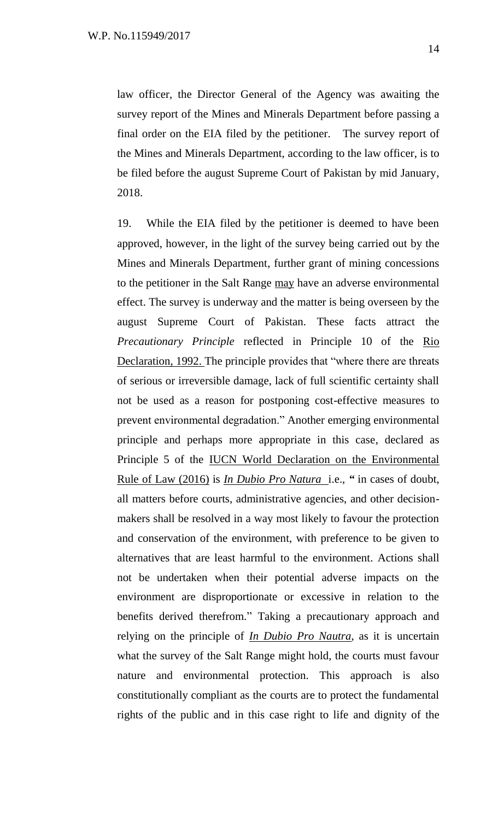law officer, the Director General of the Agency was awaiting the survey report of the Mines and Minerals Department before passing a final order on the EIA filed by the petitioner. The survey report of the Mines and Minerals Department, according to the law officer, is to be filed before the august Supreme Court of Pakistan by mid January, 2018.

19. While the EIA filed by the petitioner is deemed to have been approved, however, in the light of the survey being carried out by the Mines and Minerals Department, further grant of mining concessions to the petitioner in the Salt Range may have an adverse environmental effect. The survey is underway and the matter is being overseen by the august Supreme Court of Pakistan. These facts attract the *Precautionary Principle* reflected in Principle 10 of the Rio Declaration, 1992. The principle provides that "where there are threats" of serious or irreversible damage, lack of full scientific certainty shall not be used as a reason for postponing cost-effective measures to prevent environmental degradation." Another emerging environmental principle and perhaps more appropriate in this case, declared as Principle 5 of the IUCN World Declaration on the Environmental Rule of Law (2016) is *In Dubio Pro Natura* i.e., *"* in cases of doubt, all matters before courts, administrative agencies, and other decisionmakers shall be resolved in a way most likely to favour the protection and conservation of the environment, with preference to be given to alternatives that are least harmful to the environment. Actions shall not be undertaken when their potential adverse impacts on the environment are disproportionate or excessive in relation to the benefits derived therefrom." Taking a precautionary approach and relying on the principle of *In Dubio Pro Nautra*, as it is uncertain what the survey of the Salt Range might hold, the courts must favour nature and environmental protection. This approach is also constitutionally compliant as the courts are to protect the fundamental rights of the public and in this case right to life and dignity of the